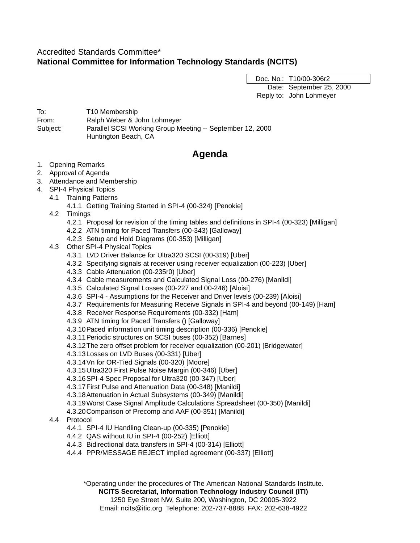# Accredited Standards Committee\* **National Committee for Information Technology Standards (NCITS)**

Doc. No.: T10/00-306r2 Date: September 25, 2000 Reply to: John Lohmeyer

To: T10 Membership From: Ralph Weber & John Lohmeyer Subject: Parallel SCSI Working Group Meeting -- September 12, 2000 Huntington Beach, CA

# **Agenda**

- 1. Opening Remarks
- 2. Approval of Agenda
- 3. Attendance and Membership
- 4. SPI-4 Physical Topics
	- 4.1 Training Patterns
		- 4.1.1 Getting Training Started in SPI-4 (00-324) [Penokie]
	- 4.2 Timings
		- 4.2.1 Proposal for revision of the timing tables and definitions in SPI-4 (00-323) [Milligan]
		- 4.2.2 ATN timing for Paced Transfers (00-343) [Galloway]
		- 4.2.3 Setup and Hold Diagrams (00-353) [Milligan]
	- 4.3 Other SPI-4 Physical Topics
		- 4.3.1 LVD Driver Balance for Ultra320 SCSI (00-319) [Uber]
		- 4.3.2 Specifying signals at receiver using receiver equalization (00-223) [Uber]
		- 4.3.3 Cable Attenuation (00-235r0) [Uber]
		- 4.3.4 Cable measurements and Calculated Signal Loss (00-276) [Manildi]
		- 4.3.5 Calculated Signal Losses (00-227 and 00-246) [Aloisi]
		- 4.3.6 SPI-4 Assumptions for the Receiver and Driver levels (00-239) [Aloisi]
		- 4.3.7 Requirements for Measuring Receive Signals in SPI-4 and beyond (00-149) [Ham]
		- 4.3.8 Receiver Response Requirements (00-332) [Ham]
		- 4.3.9 ATN timing for Paced Transfers () [Galloway]
		- 4.3.10Paced information unit timing description (00-336) [Penokie]
		- 4.3.11Periodic structures on SCSI buses (00-352) [Barnes]
		- 4.3.12The zero offset problem for receiver equalization (00-201) [Bridgewater]
		- 4.3.13Losses on LVD Buses (00-331) [Uber]
		- 4.3.14Vn for OR-Tied Signals (00-320) [Moore]
		- 4.3.15Ultra320 First Pulse Noise Margin (00-346) [Uber]
		- 4.3.16SPI-4 Spec Proposal for Ultra320 (00-347) [Uber]
		- 4.3.17First Pulse and Attenuation Data (00-348) [Manildi]
		- 4.3.18Attenuation in Actual Subsystems (00-349) [Manildi]
		- 4.3.19Worst Case Signal Amplitude Calculations Spreadsheet (00-350) [Manildi]
		- 4.3.20Comparison of Precomp and AAF (00-351) [Manildi]
	- 4.4 Protocol
		- 4.4.1 SPI-4 IU Handling Clean-up (00-335) [Penokie]
		- 4.4.2 QAS without IU in SPI-4 (00-252) [Elliott]
		- 4.4.3 Bidirectional data transfers in SPI-4 (00-314) [Elliott]
		- 4.4.4 PPR/MESSAGE REJECT implied agreement (00-337) [Elliott]

\*Operating under the procedures of The American National Standards Institute.

**NCITS Secretariat, Information Technology Industry Council (ITI)** 1250 Eye Street NW, Suite 200, Washington, DC 20005-3922 Email: ncits@itic.org Telephone: 202-737-8888 FAX: 202-638-4922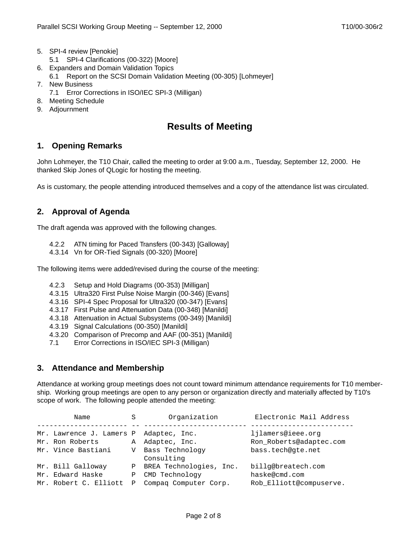- 5. SPI-4 review [Penokie]
	- 5.1 SPI-4 Clarifications (00-322) [Moore]
- 6. Expanders and Domain Validation Topics
- 6.1 Report on the SCSI Domain Validation Meeting (00-305) [Lohmeyer]
- 7. New Business
	- 7.1 Error Corrections in ISO/IEC SPI-3 (Milligan)
- 8. Meeting Schedule
- 9. Adjournment

# **Results of Meeting**

# **1. Opening Remarks**

John Lohmeyer, the T10 Chair, called the meeting to order at 9:00 a.m., Tuesday, September 12, 2000. He thanked Skip Jones of QLogic for hosting the meeting.

As is customary, the people attending introduced themselves and a copy of the attendance list was circulated.

# **2. Approval of Agenda**

The draft agenda was approved with the following changes.

- 4.2.2 ATN timing for Paced Transfers (00-343) [Galloway]
- 4.3.14 Vn for OR-Tied Signals (00-320) [Moore]

The following items were added/revised during the course of the meeting:

- 4.2.3 Setup and Hold Diagrams (00-353) [Milligan]
- 4.3.15 Ultra320 First Pulse Noise Margin (00-346) [Evans]
- 4.3.16 SPI-4 Spec Proposal for Ultra320 (00-347) [Evans]
- 4.3.17 First Pulse and Attenuation Data (00-348) [Manildi]
- 4.3.18 Attenuation in Actual Subsystems (00-349) [Manildi]
- 4.3.19 Signal Calculations (00-350) [Manildi]
- 4.3.20 Comparison of Precomp and AAF (00-351) [Manildi]
- 7.1 Error Corrections in ISO/IEC SPI-3 (Milligan)

# **3. Attendance and Membership**

Attendance at working group meetings does not count toward minimum attendance requirements for T10 membership. Working group meetings are open to any person or organization directly and materially affected by T10's scope of work. The following people attended the meeting:

| Name                     | S | Organization              | Electronic Mail Address |
|--------------------------|---|---------------------------|-------------------------|
|                          |   |                           |                         |
| Mr. Lawrence J. Lamers P |   | Adaptec, Inc.             | ljlamers@ieee.org       |
| Mr. Ron Roberts          | A | Adaptec, Inc.             | Ron_Roberts@adaptec.com |
| Mr. Vince Bastiani       | V | Bass Technology           | bass.tech@qte.net       |
|                          |   | Consulting                |                         |
| Mr. Bill Galloway        |   | P BREA Technologies, Inc. | billg@breatech.com      |
| Mr. Edward Haske         | Ρ | CMD Technology            | haske@cmd.com           |
| Mr. Robert C. Elliott    | Ρ | Compag Computer Corp.     | Rob Elliott@compuserve. |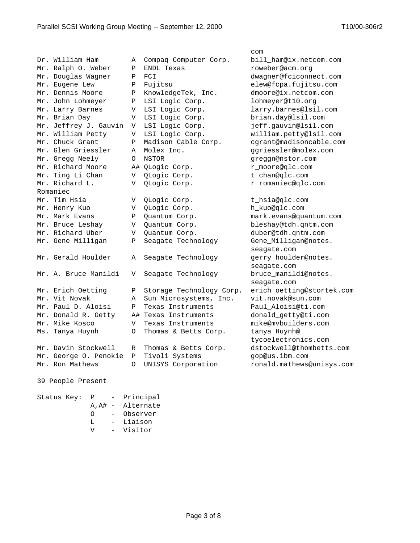|                       |          |                          | com                       |  |  |  |
|-----------------------|----------|--------------------------|---------------------------|--|--|--|
| Dr. William Ham       | Α        | Compaq Computer Corp.    | bill ham@ix.netcom.com    |  |  |  |
| Mr. Ralph O. Weber    | Ρ        | ENDL Texas               | roweber@acm.orq           |  |  |  |
| Mr. Douglas Wagner    | Ρ        | FCI                      | dwagner@fciconnect.com    |  |  |  |
| Mr. Eugene Lew        | Ρ        | Fujitsu                  | elew@fcpa.fujitsu.com     |  |  |  |
| Mr. Dennis Moore      | Ρ        | KnowledgeTek, Inc.       | dmoore@ix.netcom.com      |  |  |  |
| Mr. John Lohmeyer     | Ρ        | LSI Logic Corp.          | lohmeyer@t10.org          |  |  |  |
| Mr. Larry Barnes      | V        | LSI Logic Corp.          | larry.barnes@lsil.com     |  |  |  |
| Mr. Brian Day         | V        | LSI Logic Corp.          | brian.day@lsil.com        |  |  |  |
| Mr. Jeffrey J. Gauvin | V        | LSI Logic Corp.          | jeff.gauvin@lsil.com      |  |  |  |
| Mr. William Petty     | V        | LSI Logic Corp.          | william.petty@lsil.com    |  |  |  |
| Mr. Chuck Grant       | Ρ        | Madison Cable Corp.      | cgrant@madisoncable.com   |  |  |  |
| Mr. Glen Griessler    | Α        | Molex Inc.               | ggriessler@molex.com      |  |  |  |
| Mr. Gregg Neely       | $\Omega$ | NSTOR                    | greggn@nstor.com          |  |  |  |
| Mr. Richard Moore     |          | A# QLogic Corp.          | r_moore@qlc.com           |  |  |  |
| Mr. Ting Li Chan      | V        | QLogic Corp.             | t_chan@qlc.com            |  |  |  |
| Mr. Richard L.        | V        | QLogic Corp.             | r_romaniec@qlc.com        |  |  |  |
| Romaniec              |          |                          |                           |  |  |  |
| Mr. Tim Hsia          | V        | QLogic Corp.             | t_hsia@qlc.com            |  |  |  |
| Mr. Henry Kuo         | V        | QLogic Corp.             | h_kuo@qlc.com             |  |  |  |
| Mr. Mark Evans        | Ρ        | Quantum Corp.            | mark.evans@quantum.com    |  |  |  |
| Mr. Bruce Leshay      | V        | Quantum Corp.            | bleshay@tdh.qntm.com      |  |  |  |
| Mr. Richard Uber      | V        | Quantum Corp.            | duber@tdh.qntm.com        |  |  |  |
| Mr. Gene Milligan     | Ρ        | Seagate Technology       | Gene_Milligan@notes.      |  |  |  |
|                       |          |                          | seagate.com               |  |  |  |
| Mr. Gerald Houlder    | Α        | Seagate Technology       | gerry_houlder@notes.      |  |  |  |
|                       |          |                          | seagate.com               |  |  |  |
| Mr. A. Bruce Manildi  | V        | Seagate Technology       | bruce_manildi@notes.      |  |  |  |
|                       |          |                          | seagate.com               |  |  |  |
| Mr. Erich Oetting     | Ρ        | Storage Technology Corp. | erich_oetting@stortek.com |  |  |  |
| Mr. Vit Novak         | Α        | Sun Microsystems, Inc.   | vit.novak@sun.com         |  |  |  |
| Mr. Paul D. Aloisi    | Ρ        | Texas Instruments        | Paul_Aloisi@ti.com        |  |  |  |
| Mr. Donald R. Getty   |          | A# Texas Instruments     | donald_getty@ti.com       |  |  |  |
| Mr. Mike Kosco        | V        | Texas Instruments        | mike@mvbuilders.com       |  |  |  |
| Ms. Tanya Huynh       | 0        | Thomas & Betts Corp.     | tanya_Huynh@              |  |  |  |
|                       |          |                          | tycoelectronics.com       |  |  |  |
| Mr. Davin Stockwell   | R        | Thomas & Betts Corp.     | dstockwell@thombetts.com  |  |  |  |
| Mr. George O. Penokie | Ρ        | Tivoli Systems           | gop@us.ibm.com            |  |  |  |
| Mr. Ron Mathews       | $\Omega$ | UNISYS Corporation       | ronald.mathews@unisys.com |  |  |  |
|                       |          |                          |                           |  |  |  |
| 39 People Present     |          |                          |                           |  |  |  |

Status Key: P - Principal A,A# - Alternate O - Observer L - Liaison V - Visitor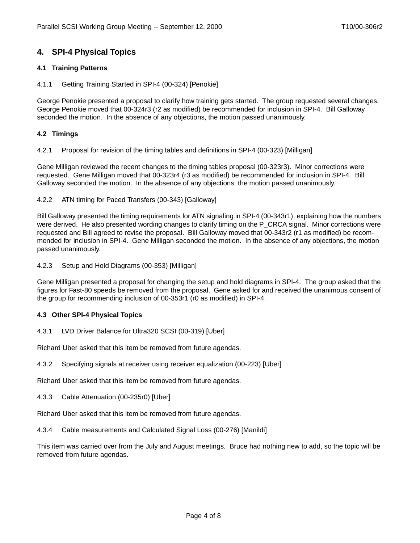# **4. SPI-4 Physical Topics**

## **4.1 Training Patterns**

### 4.1.1 Getting Training Started in SPI-4 (00-324) [Penokie]

George Penokie presented a proposal to clarify how training gets started. The group requested several changes. George Penokie moved that 00-324r3 (r2 as modified) be recommended for inclusion in SPI-4. Bill Galloway seconded the motion. In the absence of any objections, the motion passed unanimously.

### **4.2 Timings**

4.2.1 Proposal for revision of the timing tables and definitions in SPI-4 (00-323) [Milligan]

Gene Milligan reviewed the recent changes to the timing tables proposal (00-323r3). Minor corrections were requested. Gene Milligan moved that 00-323r4 (r3 as modified) be recommended for inclusion in SPI-4. Bill Galloway seconded the motion. In the absence of any objections, the motion passed unanimously.

<span id="page-3-0"></span>4.2.2 ATN timing for Paced Transfers (00-343) [Galloway]

Bill Galloway presented the timing requirements for ATN signaling in SPI-4 (00-343r1), explaining how the numbers were derived. He also presented wording changes to clarify timing on the P\_CRCA signal. Minor corrections were requested and Bill agreed to revise the proposal. Bill Galloway moved that 00-343r2 (r1 as modified) be recommended for inclusion in SPI-4. Gene Milligan seconded the motion. In the absence of any objections, the motion passed unanimously.

4.2.3 Setup and Hold Diagrams (00-353) [Milligan]

Gene Milligan presented a proposal for changing the setup and hold diagrams in SPI-4. The group asked that the figures for Fast-80 speeds be removed from the proposal. Gene asked for and received the unanimous consent of the group for recommending inclusion of 00-353r1 (r0 as modified) in SPI-4.

## **4.3 Other SPI-4 Physical Topics**

## 4.3.1 LVD Driver Balance for Ultra320 SCSI (00-319) [Uber]

Richard Uber asked that this item be removed from future agendas.

4.3.2 Specifying signals at receiver using receiver equalization (00-223) [Uber]

Richard Uber asked that this item be removed from future agendas.

4.3.3 Cable Attenuation (00-235r0) [Uber]

Richard Uber asked that this item be removed from future agendas.

4.3.4 Cable measurements and Calculated Signal Loss (00-276) [Manildi]

This item was carried over from the July and August meetings. Bruce had nothing new to add, so the topic will be removed from future agendas.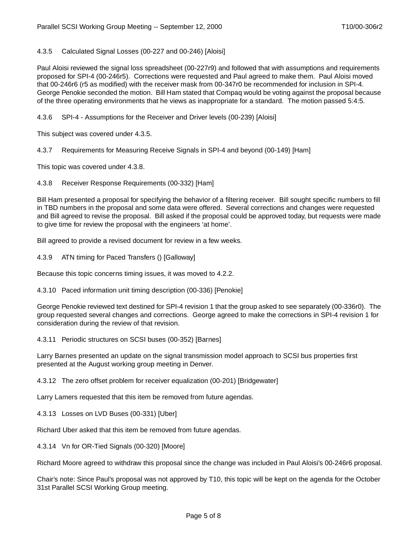<span id="page-4-0"></span>4.3.5 Calculated Signal Losses (00-227 and 00-246) [Aloisi]

Paul Aloisi reviewed the signal loss spreadsheet (00-227r9) and followed that with assumptions and requirements proposed for SPI-4 (00-246r5). Corrections were requested and Paul agreed to make them. Paul Aloisi moved that 00-246r6 (r5 as modified) with the receiver mask from 00-347r0 be recommended for inclusion in SPI-4. George Penokie seconded the motion. Bill Ham stated that Compaq would be voting against the proposal because of the three operating environments that he views as inappropriate for a standard. The motion passed 5:4:5.

4.3.6 SPI-4 - Assumptions for the Receiver and Driver levels (00-239) [Aloisi]

This subject was covered under [4.3.5.](#page-4-0)

4.3.7 Requirements for Measuring Receive Signals in SPI-4 and beyond (00-149) [Ham]

This topic was covered under [4.3.8](#page-4-1).

<span id="page-4-1"></span>4.3.8 Receiver Response Requirements (00-332) [Ham]

Bill Ham presented a proposal for specifying the behavior of a filtering receiver. Bill sought specific numbers to fill in TBD numbers in the proposal and some data were offered. Several corrections and changes were requested and Bill agreed to revise the proposal. Bill asked if the proposal could be approved today, but requests were made to give time for review the proposal with the engineers 'at home'.

Bill agreed to provide a revised document for review in a few weeks.

4.3.9 ATN timing for Paced Transfers () [Galloway]

Because this topic concerns timing issues, it was moved to [4.2.2.](#page-3-0)

4.3.10 Paced information unit timing description (00-336) [Penokie]

George Penokie reviewed text destined for SPI-4 revision 1 that the group asked to see separately (00-336r0). The group requested several changes and corrections. George agreed to make the corrections in SPI-4 revision 1 for consideration during the review of that revision.

4.3.11 Periodic structures on SCSI buses (00-352) [Barnes]

Larry Barnes presented an update on the signal transmission model approach to SCSI bus properties first presented at the August working group meeting in Denver.

4.3.12 The zero offset problem for receiver equalization (00-201) [Bridgewater]

Larry Lamers requested that this item be removed from future agendas.

4.3.13 Losses on LVD Buses (00-331) [Uber]

Richard Uber asked that this item be removed from future agendas.

4.3.14 Vn for OR-Tied Signals (00-320) [Moore]

Richard Moore agreed to withdraw this proposal since the change was included in Paul Aloisi's 00-246r6 proposal.

Chair's note: Since Paul's proposal was not approved by T10, this topic will be kept on the agenda for the October 31st Parallel SCSI Working Group meeting.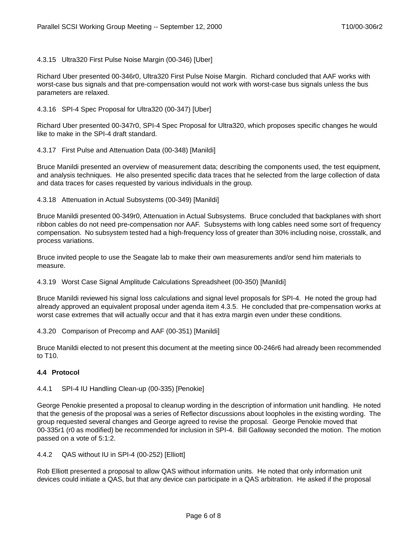4.3.15 Ultra320 First Pulse Noise Margin (00-346) [Uber]

Richard Uber presented 00-346r0, Ultra320 First Pulse Noise Margin. Richard concluded that AAF works with worst-case bus signals and that pre-compensation would not work with worst-case bus signals unless the bus parameters are relaxed.

#### 4.3.16 SPI-4 Spec Proposal for Ultra320 (00-347) [Uber]

Richard Uber presented 00-347r0, SPI-4 Spec Proposal for Ultra320, which proposes specific changes he would like to make in the SPI-4 draft standard.

4.3.17 First Pulse and Attenuation Data (00-348) [Manildi]

Bruce Manildi presented an overview of measurement data; describing the components used, the test equipment, and analysis techniques. He also presented specific data traces that he selected from the large collection of data and data traces for cases requested by various individuals in the group.

4.3.18 Attenuation in Actual Subsystems (00-349) [Manildi]

Bruce Manildi presented 00-349r0, Attenuation in Actual Subsystems. Bruce concluded that backplanes with short ribbon cables do not need pre-compensation nor AAF. Subsystems with long cables need some sort of frequency compensation. No subsystem tested had a high-frequency loss of greater than 30% including noise, crosstalk, and process variations.

Bruce invited people to use the Seagate lab to make their own measurements and/or send him materials to measure.

4.3.19 Worst Case Signal Amplitude Calculations Spreadsheet (00-350) [Manildi]

Bruce Manildi reviewed his signal loss calculations and signal level proposals for SPI-4. He noted the group had already approved an equivalent proposal under agenda item [4.3.5](#page-4-0). He concluded that pre-compensation works at worst case extremes that will actually occur and that it has extra margin even under these conditions.

4.3.20 Comparison of Precomp and AAF (00-351) [Manildi]

Bruce Manildi elected to not present this document at the meeting since 00-246r6 had already been recommended to T10.

## **4.4 Protocol**

4.4.1 SPI-4 IU Handling Clean-up (00-335) [Penokie]

George Penokie presented a proposal to cleanup wording in the description of information unit handling. He noted that the genesis of the proposal was a series of Reflector discussions about loopholes in the existing wording. The group requested several changes and George agreed to revise the proposal. George Penokie moved that 00-335r1 (r0 as modified) be recommended for inclusion in SPI-4. Bill Galloway seconded the motion. The motion passed on a vote of 5:1:2.

4.4.2 QAS without IU in SPI-4 (00-252) [Elliott]

Rob Elliott presented a proposal to allow QAS without information units. He noted that only information unit devices could initiate a QAS, but that any device can participate in a QAS arbitration. He asked if the proposal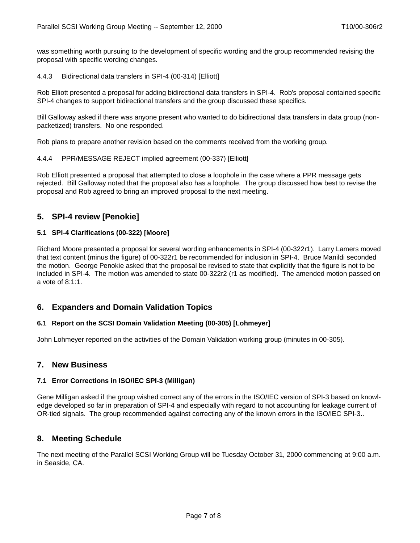was something worth pursuing to the development of specific wording and the group recommended revising the proposal with specific wording changes.

4.4.3 Bidirectional data transfers in SPI-4 (00-314) [Elliott]

Rob Elliott presented a proposal for adding bidirectional data transfers in SPI-4. Rob's proposal contained specific SPI-4 changes to support bidirectional transfers and the group discussed these specifics.

Bill Galloway asked if there was anyone present who wanted to do bidirectional data transfers in data group (nonpacketized) transfers. No one responded.

Rob plans to prepare another revision based on the comments received from the working group.

#### 4.4.4 PPR/MESSAGE REJECT implied agreement (00-337) [Elliott]

Rob Elliott presented a proposal that attempted to close a loophole in the case where a PPR message gets rejected. Bill Galloway noted that the proposal also has a loophole. The group discussed how best to revise the proposal and Rob agreed to bring an improved proposal to the next meeting.

# **5. SPI-4 review [Penokie]**

#### **5.1 SPI-4 Clarifications (00-322) [Moore]**

Richard Moore presented a proposal for several wording enhancements in SPI-4 (00-322r1). Larry Lamers moved that text content (minus the figure) of 00-322r1 be recommended for inclusion in SPI-4. Bruce Manildi seconded the motion. George Penokie asked that the proposal be revised to state that explicitly that the figure is not to be included in SPI-4. The motion was amended to state 00-322r2 (r1 as modified). The amended motion passed on a vote of 8:1:1.

# **6. Expanders and Domain Validation Topics**

#### **6.1 Report on the SCSI Domain Validation Meeting (00-305) [Lohmeyer]**

John Lohmeyer reported on the activities of the Domain Validation working group (minutes in 00-305).

## **7. New Business**

#### **7.1 Error Corrections in ISO/IEC SPI-3 (Milligan)**

Gene Milligan asked if the group wished correct any of the errors in the ISO/IEC version of SPI-3 based on knowledge developed so far in preparation of SPI-4 and especially with regard to not accounting for leakage current of OR-tied signals. The group recommended against correcting any of the known errors in the ISO/IEC SPI-3..

## **8. Meeting Schedule**

The next meeting of the Parallel SCSI Working Group will be Tuesday October 31, 2000 commencing at 9:00 a.m. in Seaside, CA.